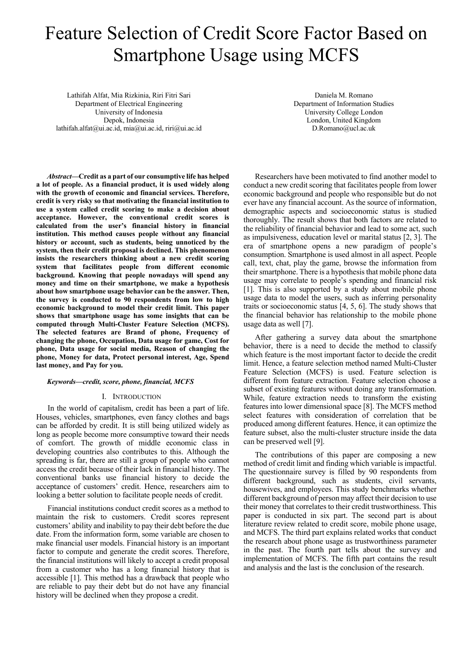# Feature Selection of Credit Score Factor Based on Smartphone Usage using MCFS

Lathifah Alfat, Mia Rizkinia, Riri Fitri Sari Department of Electrical Engineering University of Indonesia Depok, Indonesia lathifah.alfat@ui.ac.id, mia@ui.ac.id, riri@ui.ac.id

Daniela M. Romano Department of Information Studies University College London London, United Kingdom D.Romano@ucl.ac.uk

*Abstract***—Credit as a part of our consumptive life has helped a lot of people. As a financial product, it is used widely along with the growth of economic and financial services. Therefore, credit is very risky so that motivating the financial institution to use a system called credit scoring to make a decision about acceptance. However, the conventional credit scores is calculated from the user's financial history in financial institution. This method causes people without any financial history or account, such as students, being unnoticed by the system, then their credit proposal is declined. This phenomenon insists the researchers thinking about a new credit scoring system that facilitates people from different economic background. Knowing that people nowadays will spend any money and time on their smartphone, we make a hypothesis about how smartphone usage behavior can be the answer. Then, the survey is conducted to 90 respondents from low to high economic background to model their credit limit. This paper shows that smartphone usage has some insights that can be computed through Multi-Cluster Feature Selection (MCFS). The selected features are Brand of phone, Frequency of changing the phone, Occupation, Data usage for game, Cost for phone, Data usage for social media, Reason of changing the phone, Money for data, Protect personal interest, Age, Spend last money, and Pay for you.**

## *Keywords—credit, score, phone, financial, MCFS*

## I. INTRODUCTION

In the world of capitalism, credit has been a part of life. Houses, vehicles, smartphones, even fancy clothes and bags can be afforded by credit. It is still being utilized widely as long as people become more consumptive toward their needs of comfort. The growth of middle economic class in developing countries also contributes to this. Although the spreading is far, there are still a group of people who cannot access the credit because of their lack in financial history. The conventional banks use financial history to decide the acceptance of customers' credit. Hence, researchers aim to looking a better solution to facilitate people needs of credit.

Financial institutions conduct credit scores as a method to maintain the risk to customers. Credit scores represent customers' ability and inability to pay their debt before the due date. From the information form, some variable are chosen to make financial user models. Financial history is an important factor to compute and generate the credit scores. Therefore, the financial institutions will likely to accept a credit proposal from a customer who has a long financial history that is accessible [1]. This method has a drawback that people who are reliable to pay their debt but do not have any financial history will be declined when they propose a credit.

Researchers have been motivated to find another model to conduct a new credit scoring that facilitates people from lower economic background and people who responsible but do not ever have any financial account. As the source of information, demographic aspects and socioeconomic status is studied thoroughly. The result shows that both factors are related to the reliability of financial behavior and lead to some act, such as impulsiveness, education level or marital status [2, 3]. The era of smartphone opens a new paradigm of people's consumption. Smartphone is used almost in all aspect. People call, text, chat, play the game, browse the information from their smartphone. There is a hypothesis that mobile phone data usage may correlate to people's spending and financial risk [1]. This is also supported by a study about mobile phone usage data to model the users, such as inferring personality traits or socioeconomic status [4, 5, 6]. The study shows that the financial behavior has relationship to the mobile phone usage data as well [7].

After gathering a survey data about the smartphone behavior, there is a need to decide the method to classify which feature is the most important factor to decide the credit limit. Hence, a feature selection method named Multi-Cluster Feature Selection (MCFS) is used. Feature selection is different from feature extraction. Feature selection choose a subset of existing features without doing any transformation. While, feature extraction needs to transform the existing features into lower dimensional space [8]. The MCFS method select features with consideration of correlation that be produced among different features. Hence, it can optimize the feature subset, also the multi-cluster structure inside the data can be preserved well [9].

The contributions of this paper are composing a new method of credit limit and finding which variable is impactful. The questionnaire survey is filled by 90 respondents from different background, such as students, civil servants, housewives, and employees. This study benchmarks whether different background of person may affect their decision to use their money that correlates to their credit trustworthiness. This paper is conducted in six part. The second part is about literature review related to credit score, mobile phone usage, and MCFS. The third part explains related works that conduct the research about phone usage as trustworthiness parameter in the past. The fourth part tells about the survey and implementation of MCFS. The fifth part contains the result and analysis and the last is the conclusion of the research.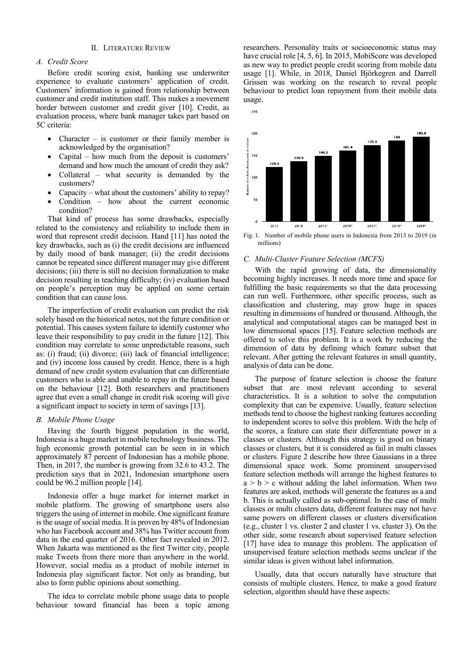## II. LITERATURE REVIEW

## *A. Credit Score*

Before credit scoring exist, banking use underwriter experience to evaluate customers' application of credit. Customers' information is gained from relationship between customer and credit institution staff. This makes a movement border between customer and credit giver [10]. Credit, as evaluation process, where bank manager takes part based on 5C criteria:

- Character is customer or their family member is acknowledged by the organisation?
- Capital how much from the deposit is customers' demand and how much the amount of credit they ask?
- Collateral what security is demanded by the customers?
- Capacity what about the customers' ability to repay?
- Condition how about the current economic condition?

That kind of process has some drawbacks, especially related to the consistency and reliability to include them in word that represent credit decision. Hand [11] has noted the key drawbacks, such as (i) the credit decisions are influenced by daily mood of bank manager; (ii) the credit decisions cannot be repeated since different manager may give different decisions; (iii) there is still no decision formalization to make decision resulting in teaching difficulty; (iv) evaluation based on people's perception may be applied on some certain condition that can cause loss.

The imperfection of credit evaluation can predict the risk solely based on the historical notes, not the future condition or potential. This causes system failure to identify customer who leave their responsibility to pay credit in the future [12]. This condition may correlate to some unpredictable reasons, such as: (i) fraud; (ii) divorce; (iii) lack of financial intelligence; and (iv) income loss caused by credit. Hence, there is a high demand of new credit system evaluation that can differentiate customers who is able and unable to repay in the future based on the behaviour [12]. Both researchers and practitioners agree that even a small change in credit risk scoring will give a significant impact to society in term of savings [13].

## *B. Mobile Phone Usage*

Having the fourth biggest population in the world, Indonesia is a huge market in mobile technology business. The high economic growth potential can be seen in in which approximately 87 percent of Indonesian has a mobile phone. Then, in 2017, the number is growing from 32.6 to 43.2. The prediction says that in 2021, Indonesian smartphone users could be 96.2 million people [14].

Indonesia offer a huge market for internet market in mobile platform. The growing of smartphone users also triggers the using of internet in mobile. One significant feature is the usage of social media. It is proven by 48% of Indonesian who has Facebook account and 38% has Twitter account from data in the end quarter of 2016. Other fact revealed in 2012. When Jakarta was mentioned as the first Twitter city, people make Tweets from there more than anywhere in the world. However, social media as a product of mobile internet in Indonesia play significant factor. Not only as branding, but also to form public opinions about something.

The idea to correlate mobile phone usage data to people behaviour toward financial has been a topic among researchers. Personality traits or socioeconomic status may have crucial role [4, 5, 6]. In 2015, MobiScore was developed as new way to predict people credit scoring from mobile data usage [1]. While, in 2018, Daniel Björkegren and Darrell Grissen was working on the research to reveal people behaviour to predict loan repayment from their mobile data usage.



Fig. 1. Number of mobile phone users in Indonesia from 2013 to 2019 (in millions)

## *C. Multi-Cluster Feature Selection (MCFS)*

 $250$ 

With the rapid growing of data, the dimensionality becoming highly increases. It needs more time and space for fulfilling the basic requirements so that the data processing can run well. Furthermore, other specific process, such as classification and clustering, may grow huge in spaces resulting in dimensions of hundred or thousand. Although, the analytical and computational stages can be managed best in low dimensional spaces [15]. Feature selection methods are offered to solve this problem. It is a work by reducing the dimension of data by defining which feature subset that relevant. After getting the relevant features in small quantity, analysis of data can be done.

The purpose of feature selection is choose the feature subset that are most relevant according to several characteristics. It is a solution to solve the computation complexity that can be expensive. Usually, feature selection methods tend to choose the highest ranking features according to independent scores to solve this problem. With the help of the scores, a feature can state their differentiate power in a classes or clusters. Although this strategy is good on binary classes or clusters, but it is considered as fail in multi classes or clusters. Figure 2 describe how three Gaussians in a three dimensional space work. Some prominent unsupervised feature selection methods will arrange the highest features to  $a > b > c$  without adding the label information. When two features are asked, methods will generate the features as a and b. This is actually called as sub-optimal. In the case of multi classes or multi clusters data, different features may not have same powers on different classes or clusters diversification (e.g., cluster 1 vs. cluster 2 and cluster 1 vs. cluster 3). On the other side, some research about supervised feature selection [17] have idea to manage this problem. The application of unsupervised feature selection methods seems unclear if the similar ideas is given without label information.

Usually, data that occurs naturally have structure that consists of multiple clusters. Hence, to make a good feature selection, algorithm should have these aspects: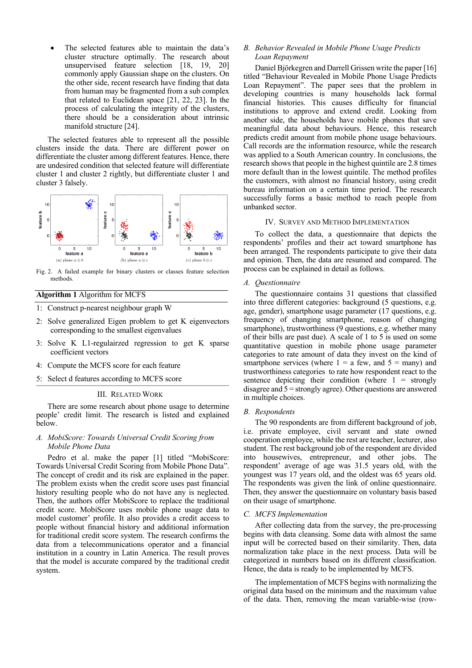The selected features able to maintain the data's cluster structure optimally. The research about unsupervised feature selection [18, 19, 20] commonly apply Gaussian shape on the clusters. On the other side, recent research have finding that data from human may be fragmented from a sub complex that related to Euclidean space [21, 22, 23]. In the process of calculating the integrity of the clusters, there should be a consideration about intrinsic manifold structure [24].

The selected features able to represent all the possible clusters inside the data. There are different power on differentiate the cluster among different features. Hence, there are undesired condition that selected feature will differentiate cluster 1 and cluster 2 rightly, but differentiate cluster 1 and cluster 3 falsely.



Fig. 2. A failed example for binary clusters or classes feature selection methods.

# **Algorithm 1** Algorithm for MCFS

- 1: Construct p-nearest neighbour graph W
- 2: Solve generalized Eigen problem to get K eigenvectors corresponding to the smallest eigenvalues
- 3: Solve K L1-regulairzed regression to get K sparse coefficient vectors
- 4: Compute the MCFS score for each feature
- 5: Select d features according to MCFS score

## III. RELATED WORK

There are some research about phone usage to determine people' credit limit. The research is listed and explained below.

# *A. MobiScore: Towards Universal Credit Scoring from Mobile Phone Data*

Pedro et al. make the paper [1] titled "MobiScore: Towards Universal Credit Scoring from Mobile Phone Data". The concept of credit and its risk are explained in the paper. The problem exists when the credit score uses past financial history resulting people who do not have any is neglected. Then, the authors offer MobiScore to replace the traditional credit score. MobiScore uses mobile phone usage data to model customer' profile. It also provides a credit access to people without financial history and additional information for traditional credit score system. The research confirms the data from a telecommunications operator and a financial institution in a country in Latin America. The result proves that the model is accurate compared by the traditional credit system.

# *B. Behavior Revealed in Mobile Phone Usage Predicts Loan Repayment*

Daniel Björkegren and Darrell Grissen write the paper [16] titled "Behaviour Revealed in Mobile Phone Usage Predicts Loan Repayment". The paper sees that the problem in developing countries is many households lack formal financial histories. This causes difficulty for financial institutions to approve and extend credit. Looking from another side, the households have mobile phones that save meaningful data about behaviours. Hence, this research predicts credit amount from mobile phone usage behaviours. Call records are the information resource, while the research was applied to a South American country. In conclusions, the research shows that people in the highest quintile are 2.8 times more default than in the lowest quintile. The method profiles the customers, with almost no financial history, using credit bureau information on a certain time period. The research successfully forms a basic method to reach people from unbanked sector.

## IV. SURVEY AND METHOD IMPLEMENTATION

To collect the data, a questionnaire that depicts the respondents' profiles and their act toward smartphone has been arranged. The respondents participate to give their data and opinion. Then, the data are resumed and compared. The process can be explained in detail as follows.

#### *A. Questionnaire*

The questionnaire contains 31 questions that classified into three different categories: background (5 questions, e.g. age, gender), smartphone usage parameter (17 questions, e.g. frequency of changing smartphone, reason of changing smartphone), trustworthiness (9 questions, e.g. whether many of their bills are past due). A scale of 1 to 5 is used on some quantitative question in mobile phone usage parameter categories to rate amount of data they invest on the kind of smartphone services (where  $1 = a$  few, and  $5 =$  many) and trustworthiness categories to rate how respondent react to the sentence depicting their condition (where  $1 =$  strongly disagree and 5 = strongly agree). Other questions are answered in multiple choices.

## *B. Respondents*

The 90 respondents are from different background of job, i.e. private employee, civil servant and state owned cooperation employee, while the rest are teacher, lecturer, also student. The rest background job of the respondent are divided into housewives, entrepreneur, and other jobs. The respondent' average of age was 31.5 years old, with the youngest was 17 years old, and the oldest was 65 years old. The respondents was given the link of online questionnaire. Then, they answer the questionnaire on voluntary basis based on their usage of smartphone.

#### *C. MCFS Implementation*

After collecting data from the survey, the pre-processing begins with data cleansing. Some data with almost the same input will be corrected based on their similarity. Then, data normalization take place in the next process. Data will be categorized in numbers based on its different classification. Hence, the data is ready to be implemented by MCFS.

The implementation of MCFS begins with normalizing the original data based on the minimum and the maximum value of the data. Then, removing the mean variable-wise (row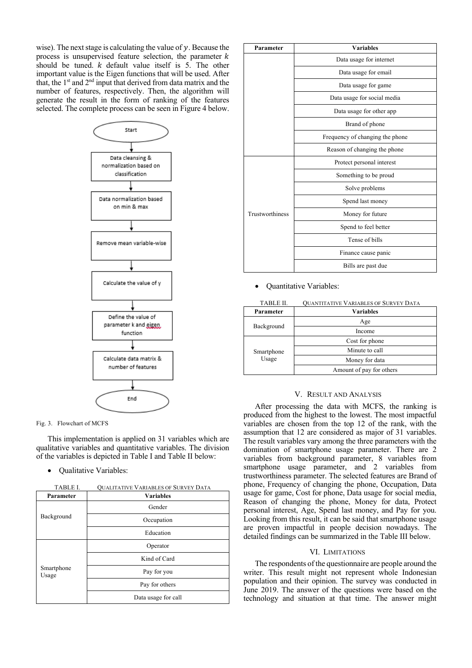wise). The next stage is calculating the value of  $y$ . Because the process is unsupervised feature selection, the parameter  $k$ should be tuned.  $k$  default value itself is 5. The other important value is the Eigen functions that will be used. After that, the 1st and 2nd input that derived from data matrix and the number of features, respectively. Then, the algorithm will generate the result in the form of ranking of the features selected. The complete process can be seen in Figure 4 below.



Fig. 3. Flowchart of MCFS

This implementation is applied on 31 variables which are qualitative variables and quantitative variables. The division of the variables is depicted in Table I and Table II below:

• Qualitative Variables:

| TABLE I. | <b>OUALITATIVE VARIABLES OF SURVEY DATA</b> |
|----------|---------------------------------------------|
|          |                                             |

| TADLE 1.            | <b>OUALITATIVE VARIABLES OF SURVEY DATA</b> |  |  |
|---------------------|---------------------------------------------|--|--|
| Parameter           | <b>Variables</b>                            |  |  |
|                     | Gender                                      |  |  |
| Background          | Occupation                                  |  |  |
|                     | Education                                   |  |  |
|                     | Operator                                    |  |  |
|                     | Kind of Card                                |  |  |
| Smartphone<br>Usage | Pay for you                                 |  |  |
|                     | Pay for others                              |  |  |
|                     | Data usage for call                         |  |  |

| Parameter       | <b>Variables</b>                |  |  |
|-----------------|---------------------------------|--|--|
|                 | Data usage for internet         |  |  |
|                 | Data usage for email            |  |  |
|                 | Data usage for game             |  |  |
|                 | Data usage for social media     |  |  |
|                 | Data usage for other app        |  |  |
|                 | Brand of phone                  |  |  |
|                 | Frequency of changing the phone |  |  |
|                 | Reason of changing the phone    |  |  |
| Trustworthiness | Protect personal interest       |  |  |
|                 | Something to be proud           |  |  |
|                 | Solve problems                  |  |  |
|                 | Spend last money                |  |  |
|                 | Money for future                |  |  |
|                 | Spend to feel better            |  |  |
|                 | Tense of bills                  |  |  |
|                 | Finance cause panic             |  |  |
|                 | Bills are past due              |  |  |

• Quantitative Variables:

|                          | <b>QUANTITATIVE VARIABLES OF SURVEY DATA</b> |  |  |
|--------------------------|----------------------------------------------|--|--|
| Parameter                | <b>Variables</b>                             |  |  |
| Age<br>Background        |                                              |  |  |
| Income                   |                                              |  |  |
|                          | Cost for phone                               |  |  |
| Smartphone               | Minute to call                               |  |  |
| Usage                    | Money for data                               |  |  |
| Amount of pay for others |                                              |  |  |

# V. RESULT AND ANALYSIS

After processing the data with MCFS, the ranking is produced from the highest to the lowest. The most impactful variables are chosen from the top 12 of the rank, with the assumption that 12 are considered as major of 31 variables. The result variables vary among the three parameters with the domination of smartphone usage parameter. There are 2 variables from background parameter, 8 variables from smartphone usage parameter, and 2 variables from trustworthiness parameter. The selected features are Brand of phone, Frequency of changing the phone, Occupation, Data usage for game, Cost for phone, Data usage for social media, Reason of changing the phone, Money for data, Protect personal interest, Age, Spend last money, and Pay for you. Looking from this result, it can be said that smartphone usage are proven impactful in people decision nowadays. The detailed findings can be summarized in the Table III below.

## VI. LIMITATIONS

The respondents of the questionnaire are people around the writer. This result might not represent whole Indonesian population and their opinion. The survey was conducted in June 2019. The answer of the questions were based on the technology and situation at that time. The answer might